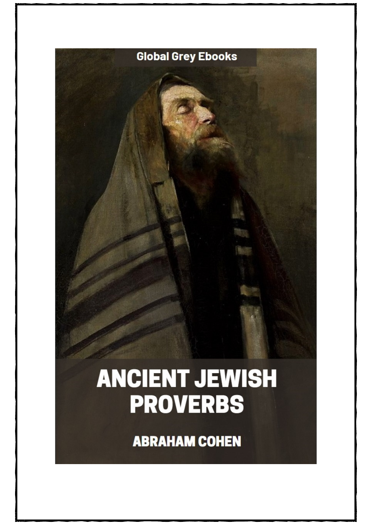

## **ANCIENT JEWISH PROVERBS**

**ABRAHAM COHEN**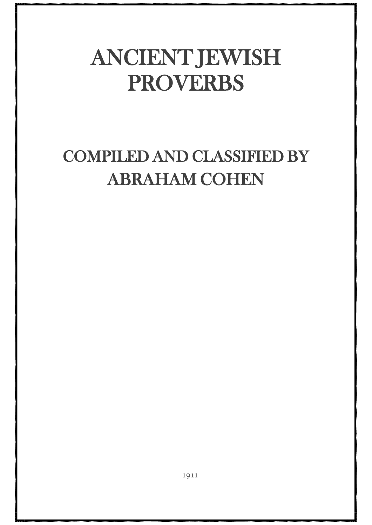## ANCIENT JEWISH PROVERBS

## COMPILED AND CLASSIFIED BY ABRAHAM COHEN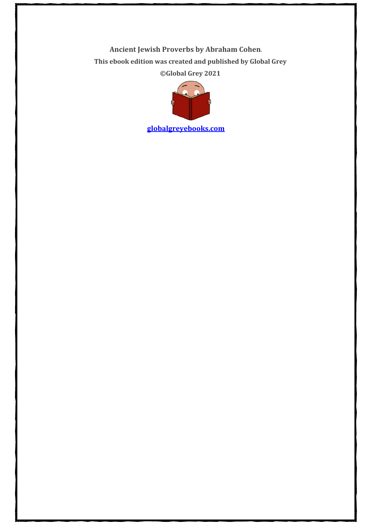**Ancient Jewish Proverbs by Abraham Cohen**. **This ebook edition was created and published by Global Grey ©Global Grey 2021**



**[globalgreyebooks.com](https://www.globalgreyebooks.com/index.html)**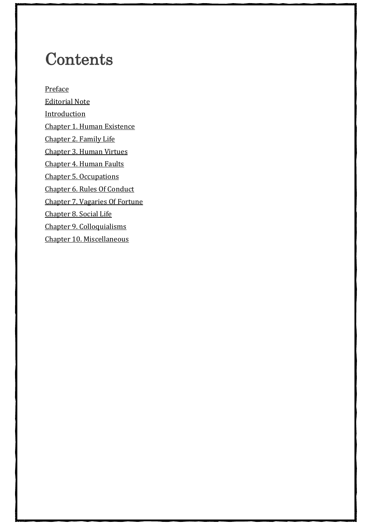## **Contents**

[Preface](#page-4-0) [Editorial Note](#page-5-0) [Introduction](#page-6-0) [Chapter 1. Human Existence](#page-13-0) [Chapter 2. Family Life](#page-18-0) [Chapter 3. Human Virtues](#page-23-0) [Chapter 4. Human Faults](#page-26-0) [Chapter 5. Occupations](#page-32-0) [Chapter 6. Rules Of Conduct](#page-36-0) [Chapter 7. Vagaries Of Fortune](#page-41-0) [Chapter 8. Social Life](#page-45-0) [Chapter 9. Colloquialisms](#page-48-0) [Chapter 10. Miscellaneous](#page-51-0)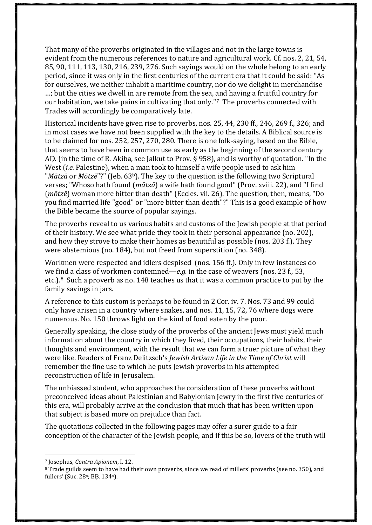That many of the proverbs originated in the villages and not in the large towns is evident from the numerous references to nature and agricultural work. Cf. nos. 2, 21, 54, 85, 90, 111, 113, 130, 216, 239, 276. Such sayings would on the whole belong to an early period, since it was only in the first centuries of the current era that it could be said: "As for ourselves, we neither inhabit a maritime country, nor do we delight in merchandise …; but the cities we dwell in are remote from the sea, and having a fruitful country for our habitation, we take pains in cultivating that only."[7](#page-11-0) The proverbs connected with Trades will accordingly be comparatively late.

Historical incidents have given rise to proverbs, nos. 25, 44, 230 ff., 246, 269 f., 326; and in most cases we have not been supplied with the key to the details. A Biblical source is to be claimed for nos. 252, 257, 270, 280. There is one folk-saying, based on the Bible, that seems to have been in common use as early as the beginning of the second century AḌ. (in the time of R. Akiba, see Jalkut to Prov. § 958), and is worthy of quotation. "In the West (*i.e.* Palestine), when a man took to himself a wife people used to ask him "*Mātzā* or *Mōtzē*"?" (Jeb. 63b). The key to the question is the following two Scriptural verses; "Whoso hath found (*mātzā*) a wife hath found good" (Prov. xviii. 22), and "I find (*mōtzē*) woman more bitter than death" (Eccles. vii. 26). The question, then, means, "Do you find married life "good" or "more bitter than death"?" This is a good example of how the Bible became the source of popular sayings.

The proverbs reveal to us various habits and customs of the Jewish people at that period of their history. We see what pride they took in their personal appearance (no. 202), and how they strove to make their homes as beautiful as possible (nos. 203 f.). They were abstemious (no. 184), but not freed from superstition (no. 348).

Workmen were respected and idlers despised (nos. 156 ff.). Only in few instances do we find a class of workmen contemned—*e.g.* in the case of weavers (nos. 23 f., 53, etc.).[8](#page-11-1) Such a proverb as no. 148 teaches us that it was a common practice to put by the family savings in jars.

A reference to this custom is perhaps to be found in 2 Cor. iv. 7. Nos. 73 and 99 could only have arisen in a country where snakes, and nos. 11, 15, 72, 76 where dogs were numerous. No. 150 throws light on the kind of food eaten by the poor.

Generally speaking, the close study of the proverbs of the ancient Jews must yield much information about the country in which they lived, their occupations, their habits, their thoughts and environment, with the result that we can form a truer picture of what they were like. Readers of Franz Delitzsch's *Jewish Artisan Life in the Time of Christ* will remember the fine use to which he puts Jewish proverbs in his attempted reconstruction of life in Jerusalem.

The unbiassed student, who approaches the consideration of these proverbs without preconceived ideas about Palestinian and Babylonian Jewry in the first five centuries of this era, will probably arrive at the conclusion that much that has been written upon that subject is based more on prejudice than fact.

The quotations collected in the following pages may offer a surer guide to a fair conception of the character of the Jewish people, and if this be so, lovers of the truth will

<sup>7</sup> Josephus, *Contra Apionem*, I. 12.

<span id="page-11-1"></span><span id="page-11-0"></span><sup>8</sup> Trade guilds seem to have had their own proverbs, since we read of millers' proverbs (see no. 350), and fullers' (Suc. 28a; BḄ. 134a).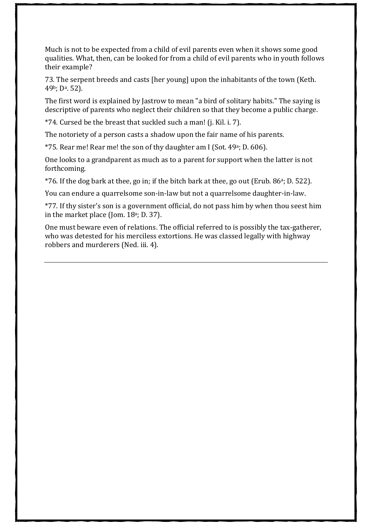That many of the proverbs originated in the villages and not in the large towns is evident from the numerous references to nature and agricultural work. Cf. nos. 2, 21, 54, 85, 90, 111, 113, 130, 216, 239, 276. Such sayings would on the whole belong to an early period, since it was only in the first centuries of the current era that it could be said: "As for ourselves, we neither inhabit a maritime country, nor do we delight in merchandise ...; but the cities we dwell in are remote from the sea, and having a fruitful country for our habitation, we take pains in cultivating that only."<sup>7</sup> The proverbs connected with Trades will accordingly be comparatively late.

Historical incidents have given rise to proverbs, nos. 25, 44, 230 ff., 246, 269 f., 326; and in most cases we have not been supplied with the key to the details. A Biblical source is to be claimed for nos. 252, 257, 270, 280. There is one folk-saying, based on the Bible, that seems to have been in common use as early as the beginning of the second century A . (in the time of R. Akiba, see Jalkut to Prov. § 958), and is worthy of quotation. "In the West (i.e. Palestine), when a man took to himself a wife people used to ask him "  $\mathfrak{C} - \mathfrak{O}$   $\mathfrak{C}$   $\mathfrak{O} - \mathfrak{C}$ " (i.e. 63b). The key to the question is the following two Scriptural verses; "Whoso hath found  $\phi \phi - \frac{\partial \phi}{\partial x}$  (exists hath found good" (Prov. xviii. 22), and "I find  $\hat{U}$  –  $\hat{U}$  –  $\hat{U}$  –  $\hat{U}$  p =  $\hat{U}$  more bitter than death" (Eccles. vii. 26). The question, then, means, "Do you find married life "good" or "more bitter than death"?" This is a good example of how the Bible became the source of popular sayings.

The proverbs reveal to us various habits and customs of the Jewish people at that period of their history. We see what pride they took in their personal appearance (no. 202). and how they strove to make their homes as beautiful as possible (nos. 203 f.). They were abstemious (no. 184), but not freed from superstition (no. 348).

Workmen were respected and idlers despised (nos. 156 ff.). Only in few instances do we find a class of workmen contemned—e.g.in the case of weavers (nos. 23 f., 53, etc.).<sup>8</sup> Such a proverb as no. 148 teaches us that it was a common practice to put by the family savings in jars.

A reference to this custom is perhaps to be found in 2 Cor. iv. 7. Nos. 73 and 99 could only have arisen in a country where snakes, and nos. 11, 15, 72, 76 where dogs were numerous. No. 150 throws light on the kind of food eaten by the poor.

Generally speaking, the close study of the proverbs of the ancient Jews must yield much information about the country in which they lived, their occupations, their habits, their thoughts and environment, with the result that we can form a truer picture of what they were like. Readers of Franz Delitzsch's Jewish Artisan Life in the ime of Christwill remember the fine use to which he puts Jewish proverbs in his attempted reconstruction of life in Jerusalem.

The unbiassed student, who approaches the consideration of these proverbs without preconceived ideas about Palestinian and Babylonian Jewry in the first five centuries of this era, will probably arrive at the conclusion that much that has been written upon that subject is based more on prejudice than fact.

The quotations collected in the following pages may offer a surer guide to a fair conception of the character of the Jewish people, and if this be so, lovers of the truth will

<sup>7</sup> Iosephus, Contra ApionemI, 12.

<sup>8</sup> Trade guilds seem to have had their own proverbs, since we read of millers' proverbs (see no. 350), and fullers' (Suc. 28<sup>a</sup>; B *f.* 134<sup>a</sup>).